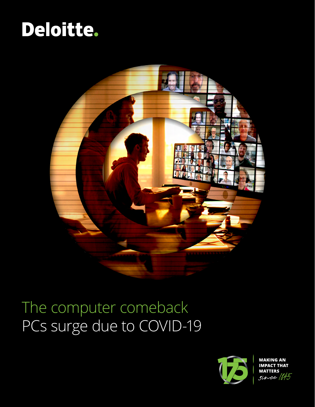# Deloitte.



## The computer comeback PCs surge due to COVID-19



**MAKING AN** IMPACT THAT<br>MATTERS<br>Since  $1/7$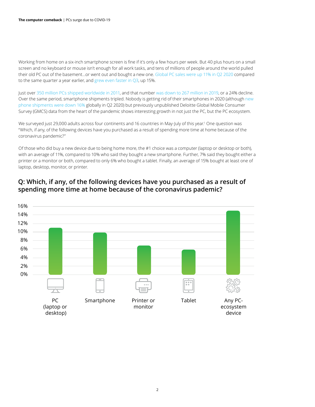Working from home on a six-inch smartphone screen is fine if it's only a few hours per week. But 40 plus hours on a small screen and no keyboard or mouse isn't enough for all work tasks, and tens of millions of people around the world pulled their old PC out of the basement…or went out and bought a new one. [Global PC sales were up 11% in Q2 2020](https://www.idc.com/getdoc.jsp?containerId=prUS46691020) compared to the same quarter a year earlier, and [grew even faster in Q3](https://www.idc.com/getdoc.jsp?containerId=prUS46928320), up 15%.

Just over [350 million PCs shipped worldwide in 2011](https://www.computerworld.com/article/2501268/idc--pc-shipments-slumped-as-2011-ended.html#:~:text=A%20sluggish%20economy%2C%20other%20form,PC%20sales%20worldwide%2C%20IDC%20reports&text=For%20all%20of%202011%2C%20about,346.8%20million%20PCs%20were%20shipped.), and that number [was down to 267 million in 2019,](https://www.idc.com/getdoc.jsp?containerId=prUS45865620) or a 24% decline. Over the same period, smartphone shipments tripled. Nobody is getting rid of their smartphones in 2020 (although [new](https://www.idc.com/getdoc.jsp?containerId=prUS46750220)  [phone shipments were down 16%](https://www.idc.com/getdoc.jsp?containerId=prUS46750220) globally in Q2 2020) but previously unpublished Deloitte Global Mobile Consumer Survey (GMCS) data from the heart of the pandemic shows interesting growth in not just the PC, but the PC ecosystem.

We surveyed just 29,000 adults across four continents and 16 countries in May-July of this year.<sup>1</sup> One question was "Which, if any, of the following devices have you purchased as a result of spending more time at home because of the coronavirus pandemic?"

Of those who did buy a new device due to being home more, the #1 choice was a computer (laptop or desktop or both), with an average of 11%, compared to 10% who said they bought a new smartphone. Further, 7% said they bought either a printer or a monitor or both, compared to only 6% who bought a tablet. Finally, an average of 15% bought at least one of laptop, desktop, monitor, or printer.



### **Q: Which, if any, of the following devices have you purchased as a result of spending more time at home because of the coronavirus pademic?**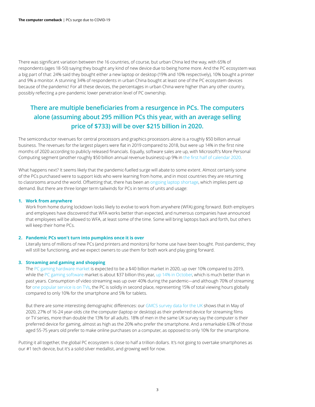There was significant variation between the 16 countries, of course, but urban China led the way, with 65% of respondents (ages 18-50) saying they bought any kind of new device due to being home more. And the PC ecosystem was a big part of that: 24% said they bought either a new laptop or desktop (19% and 10% respectively), 10% bought a printer and 9% a monitor. A stunning 34% of respondents in urban China bought at least one of the PC ecosystem devices because of the pandemic! For all these devices, the percentages in urban China were higher than any other country, possibly reflecting a pre-pandemic lower penetration level of PC ownership.

## **There are multiple beneficiaries from a resurgence in PCs. The computers alone (assuming about 295 million PCs this year, with an average selling price of \$733) will be over \$215 billion in 2020.**

The semiconductor revenues for central processors and graphics processors alone is a roughly \$50 billion annual business. The revenues for the largest players were flat in 2019 compared to 2018, but were up 14% in the first nine months of 2020 according to publicly released financials. Equally, software sales are up, with Microsoft's More Personal Computing segment (another roughly \$50 billion annual revenue business) up 9% in [the first half of calendar 2020](https://view.officeapps.live.com/op/view.aspx?src=https://c.s-microsoft.com/en-us/CMSFiles/SlidesFY20Q4.pptx?version=e068961a-ee0f-2ec3-a5d7-f91122eca613).

What happens next? It seems likely that the pandemic-fuelled surge will abate to some extent. Almost certainly some of the PCs purchased were to support kids who were learning from home, and in most countries they are returning to classrooms around the world. Offsetting that, there has been an [ongoing laptop shortage,](https://www.extremetech.com/computing/314256-massive-laptop-shortage-united-states) which implies pent up demand. But there are three longer term tailwinds for PCs in terms of units and usage:

#### **1. Work from anywhere**

Work from home during lockdown looks likely to evolve to work from anywhere (WFA) going forward. Both employers and employees have discovered that WFA works better than expected, and numerous companies have announced that employees will be allowed to WFA, at least some of the time. Some will bring laptops back and forth, but others will keep their home PCs.

#### **2. Pandemic PCs won't turn into pumpkins once it is over**

Literally tens of millions of new PCs (and printers and monitors) for home use have been bought. Post-pandemic, they will still be functioning, and we expect owners to use them for both work and play going forward.

#### **3. Streaming and gaming and shopping**

The [PC gaming hardware market](https://www.businesswire.com/news/home/20200707005308/en/Global-PC-Gaming-Hardware-Market-Forecast-to-Surge-by-3.6-billion-in-2020-due-to-COVID-19 ) is expected to be a \$40 billion market in 2020, up over 10% compared to 2019, while the [PC gaming software](https://newzoo.com/insights/articles/newzoo-games-market-numbers-revenues-and-audience-2020-2023/) market is about \$37 billion this year, [up 14% in October,](https://www.superdataresearch.com/blog/worldwide-digital-games-market/) which is much better than in past years. Consumption of video streaming was up over 40% during the pandemic—and although 70% of streaming for [one popular service is on TVs,](https://www.vox.com/2018/3/7/17094610/netflix-70-percent-tv-viewing-statistics ) the PC is solidly in second place, representing 15% of total viewing hours globally compared to only 10% for the smartphone and 5% for tablets.

But there are some interesting demographic differences: our [GMCS survey data for the UK](https://www2.deloitte.com/uk/digital-consumer-trends/lockdown-behaviour) shows that in May of 2020, 27% of 16-24 year-olds cite the computer (laptop or desktop) as their preferred device for streaming films or TV series, more than double the 13% for all adults. 18% of men in the same UK survey say the computer is their preferred device for gaming, almost as high as the 20% who prefer the smartphone. And a remarkable 63% of those aged 55-75 years old prefer to make online purchases on a computer, as opposed to only 10% for the smartphone.

Putting it all together, the global PC ecosystem is close to half a trillion dollars. It's not going to overtake smartphones as our #1 tech device, but it's a solid silver medallist, and growing well for now.